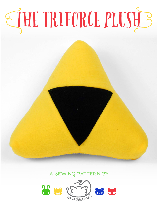# THE TRIFORCE PLUSH'S

# A SEWING PATTERN BY

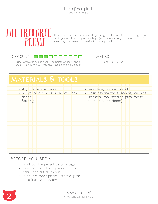

This plush is of course inspired by the great Triforce from The Legend of Zelda games. It's a super simple project to keep on your desk, or consider enlarging the pattern to make it into a pillow!

#### $D$ IFFICULTY:  $\blacksquare$  $\blacksquare$

Super simple to get through! The points of the triangle  $\Box$  one 7" x 7" plush are a little tricky, but if you use fleece it makes it easier.

makes:

# **materials & tools • Matching sewing thread • Basic sewing tools (sewing machine, scissors, iron, needles, pins, fabric marker, seam ripper) • ¼ yd. of yellow fleece • 1/8 yd. or a 6" x 10" scrap of black fleece • Batting**

#### **before you begin:**

- **1.** Print out the project pattern, page 5
- **2.** Lay out the pattern pieces on your fabric and cut them out
- **3.** Mark the fabric pieces with the guidelines from the pattern

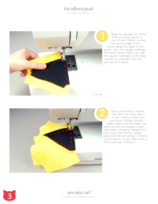## the triforce plush

sewing tutorial



Begin by sewing one of the Triforce center pieces to one of the Triforce corners. Line up the edge of the center along the edge of the corner with the square markings. The ends should match up with the square markings so the edge is perfectly centered. Sew the two pieces in place.



Now you'll need to repeat this with the other sides of the Triforce center and two more Triforce corners. Again, make sure the edges are lined up with the square to get the proper centering. Repeat this with your final Triforce center piece and the remaining 3 Triforce corner pieces. So you now have a front and back Triforce :)



Sew desu ne? | www.cholyknight.com |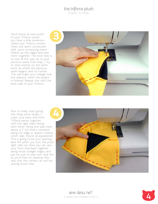# the triforce plush

sewing tutorial

You'll notice at each point of your Triforce center you have a little extension where two Triforce corners meet, but aren't connected. Well, we're connecting them! Match up the edges and sew them together. The trick here is to sew all the way up to your previous seam from step 1. Try to stop exactly on the same point as where the previous seam begins, and no further. This will make your triangle look the cleanest when the project is finished. Repeat this with the back side of your Triforce.



Now to really start giving this thing some shape :) Layer your back and front Triforce pieces together with the right sides facing each other. Along one side mark about a 5" line that's centered along the edge (it doesn't matter which side, they're all equilateral). This is going to be your opening later for when you turn the plush right side out. Now you can sew your front and back together along those straight edges, and just be sure to skip over that line so you'll have an opening. Also skip over the corners, as we'll be sewing those next.



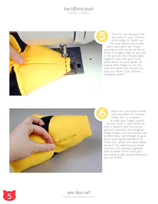## the triforce plush

sewing tutorial



Time for the corners! Fold the body of your Triforce at an angle to match up the side seams you've just sewn, and you'll see those openings in the corner lie flat to make a straight edge as you see in the picture. Sew these edges together and now you'll have some depth to your plush. Of course don't forget to do this with the other two corners, so now you have a fully formed triangular prism!



Time for<br>the body<br>at an an<br>the side s<br>sewn, and y<br>openings in the<br>make a straigh<br>in the picture.<br>together and r some depth tc<br>course don't for<br>with the other<br>triangular prism<br>triangular prism<br>Now turn<br>out and<br>nicely with o Now turn your plush inside out and poke the corners nicely with a chopstick, or even your fingers would do fine. Stuff it semi-firmly so that it doesn't look too round and still maintains its triangular shape. Make sure the corners are stuffed really well though to give them some good definition! To finish, turn under the seam allow ances in the opening you made and sew the opening together with a ladder stitch. Now give your plush a big squeeze because you are DONE!